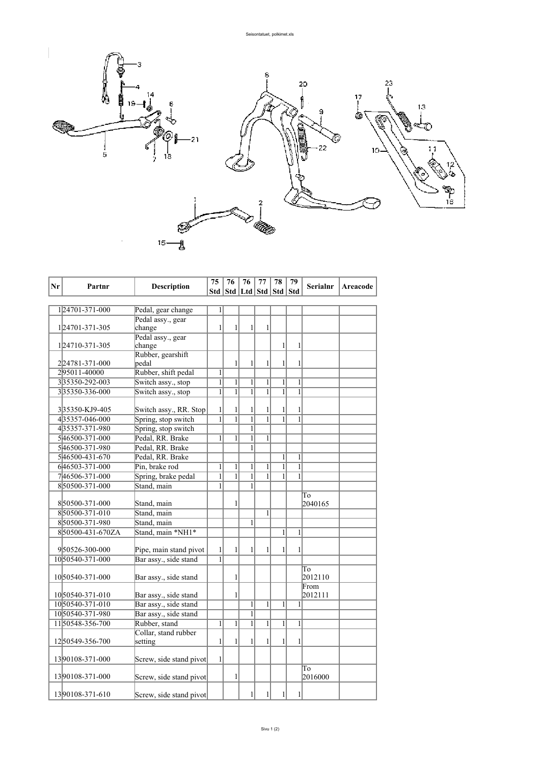

| Nr | Partnr           | <b>Description</b>          | 75             | 76             | 76                          | 77             | 78           | 79           | Serialnr      | Areacode |
|----|------------------|-----------------------------|----------------|----------------|-----------------------------|----------------|--------------|--------------|---------------|----------|
|    |                  |                             | Std            |                | Std   Ltd   Std   Std   Std |                |              |              |               |          |
|    |                  |                             |                |                |                             |                |              |              |               |          |
|    | 124701-371-000   | Pedal, gear change          | $\mathbf{1}$   |                |                             |                |              |              |               |          |
|    |                  | Pedal assy., gear           |                |                |                             |                |              |              |               |          |
|    | 124701-371-305   | change                      | $\mathbf{1}$   | 1              | 1                           | 1              |              |              |               |          |
|    |                  | Pedal assy., gear           |                |                |                             |                |              |              |               |          |
|    | 124710-371-305   | change<br>Rubber, gearshift |                |                |                             |                | 1            | 1            |               |          |
|    | 2 24781-371-000  | pedal                       |                | $\mathbf{1}$   | 1                           | 1              | 1            | 1            |               |          |
|    | 295011-40000     | Rubber, shift pedal         | $\mathbf{1}$   |                |                             |                |              |              |               |          |
|    | 335350-292-003   | Switch assy., stop          | $\overline{1}$ | $\mathbf{1}$   | 1                           | $\mathbf{1}$   | 1            | $\mathbf{1}$ |               |          |
|    | 335350-336-000   | Switch assy., stop          | $\mathbf{1}$   | $\mathbf{1}$   | $\overline{1}$              | $\mathbf{1}$   | $\mathbf{1}$ | $\mathbf{1}$ |               |          |
|    |                  |                             |                |                |                             |                |              |              |               |          |
|    | 335350-KJ9-405   | Switch assy., RR. Stop      | 1              | $\mathbf{1}$   | 1                           | 1              | 1            | 1            |               |          |
|    | 435357-046-000   | Spring, stop switch         | $\overline{1}$ | $\overline{1}$ | $\overline{1}$              | $\overline{1}$ | $\mathbf{1}$ | $\mathbf{1}$ |               |          |
|    | 435357-371-980   | Spring, stop switch         |                |                | $\mathbf{1}$                |                |              |              |               |          |
|    | 546500-371-000   | Pedal, RR. Brake            | $\mathbf{1}$   | $\mathbf{1}$   | $\overline{1}$              | $\mathbf{1}$   |              |              |               |          |
|    | 546500-371-980   | Pedal, RR. Brake            |                |                | 1                           |                |              |              |               |          |
|    | 546500-431-670   | Pedal, RR, Brake            |                |                |                             |                | 1            | $\mathbf{1}$ |               |          |
|    | 646503-371-000   | Pin, brake rod              | $\mathbf{1}$   | $\mathbf{1}$   | $\mathbf{1}$                | $\mathbf{1}$   | $\mathbf{1}$ | $\mathbf{1}$ |               |          |
|    | 746506-371-000   | Spring, brake pedal         | $\overline{1}$ | $\mathbf{1}$   | $\mathbf{1}$                | $\mathbf{1}$   | 1            | $\mathbf{1}$ |               |          |
|    | 850500-371-000   | Stand, main                 | 1              |                | 1                           |                |              |              |               |          |
|    |                  |                             |                |                |                             |                |              |              | To            |          |
|    | 850500-371-000   | Stand, main                 |                | $\mathbf{1}$   |                             |                |              |              | 2040165       |          |
|    | 850500-371-010   | Stand, main                 |                |                |                             | $\mathbf{1}$   |              |              |               |          |
|    | 850500-371-980   | Stand, main                 |                |                | $\mathbf{1}$                |                |              |              |               |          |
|    | 850500-431-670ZA | Stand, main *NH1*           |                |                |                             |                | 1            | 1            |               |          |
|    |                  |                             |                |                |                             |                |              |              |               |          |
|    | 950526-300-000   | Pipe, main stand pivot      | $\mathbf{1}$   | 1              | 1                           | 1              | 1            | 1            |               |          |
|    | 1050540-371-000  | Bar assy., side stand       | $\overline{1}$ |                |                             |                |              |              |               |          |
|    |                  |                             |                |                |                             |                |              |              | To            |          |
|    | 1050540-371-000  | Bar assy., side stand       |                | $\mathbf{1}$   |                             |                |              |              | 2012110       |          |
|    |                  |                             |                |                |                             |                |              |              | From          |          |
|    | 1050540-371-010  | Bar assy., side stand       |                | 1              |                             |                |              |              | 2012111       |          |
|    | 1050540-371-010  | Bar assy., side stand       |                |                | $\mathbf{1}$                | $\mathbf{1}$   | $\mathbf{1}$ | 1            |               |          |
|    | 1050540-371-980  | Bar assy., side stand       |                |                | $\overline{1}$              |                |              |              |               |          |
|    | 1150548-356-700  | Rubber, stand               | $\mathbf{1}$   | $\mathbf{1}$   | $\mathbf{1}$                | 1              | $\mathbf{1}$ | 1            |               |          |
|    |                  | Collar, stand rubber        |                |                |                             |                |              |              |               |          |
|    | 1250549-356-700  | setting                     | $\mathbf{1}$   | $\mathbf{1}$   | 1                           | 1              | 1            | 1            |               |          |
|    |                  |                             |                |                |                             |                |              |              |               |          |
|    | 1390108-371-000  | Screw, side stand pivot     | $\mathbf{1}$   |                |                             |                |              |              |               |          |
|    | 1390108-371-000  |                             |                | 1              |                             |                |              |              | To<br>2016000 |          |
|    |                  | Screw, side stand pivot     |                |                |                             |                |              |              |               |          |
|    | 1390108-371-610  | Screw, side stand pivot     |                |                | 1                           | 1              | $\mathbf{1}$ | 1            |               |          |